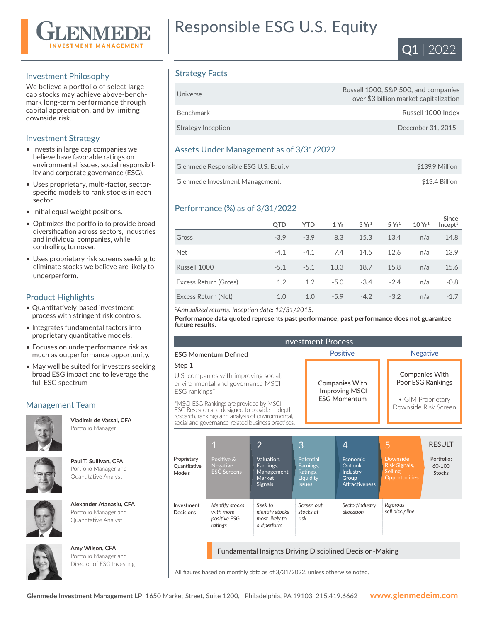

### Investment Philosophy

We believe a portfolio of select large cap stocks may achieve above-benchmark long-term performance through capital appreciation, and by limiting downside risk.

### Investment Strategy

- Invests in large cap companies we believe have favorable ratings on environmental issues, social responsibility and corporate governance (ESG).
- Uses proprietary, multi-factor, sectorspecific models to rank stocks in each sector.
- Initial equal weight positions.
- Optimizes the portfolio to provide broad diversification across sectors, industries and individual companies, while controlling turnover.
- Uses proprietary risk screens seeking to eliminate stocks we believe are likely to underperform.

### Product Highlights

- Quantitatively-based investment process with stringent risk controls.
- Integrates fundamental factors into proprietary quantitative models.
- Focuses on underperformance risk as much as outperformance opportunity.
- May well be suited for investors seeking broad ESG impact and to leverage the full ESG spectrum

# Management Team



**Vladimir de Vassal, CFA**  Portfolio Manager



**Paul T. Sullivan, CFA**  Portfolio Manager and Quantitative Analyst

#### **Alexander Atanasiu, CFA**  Portfolio Manager and Quantitative Analyst



**Amy Wilson, CFA**  Portfolio Manager and

Director of ESG Investing





## Strategy Facts

| Universe           | Russell 1000, S&P 500, and companies<br>over \$3 billion market capitalization |
|--------------------|--------------------------------------------------------------------------------|
| Benchmark          | Russell 1000 Index                                                             |
| Strategy Inception | December 31, 2015                                                              |

### Assets Under Management as of 3/31/2022

| Glenmede Responsible ESG U.S. Equity | \$139.9 Million |
|--------------------------------------|-----------------|
| Glenmede Investment Management:      | \$13.4 Billion  |

# Performance (%) as of 3/31/2022

|                       | <b>QTD</b> | <b>YTD</b> | 1 Yr   | 3Yr <sup>1</sup> | 5 Yr <sup>1</sup> | 10 Yr <sup>1</sup> | <b>Since</b><br>Incept <sup>1</sup> |
|-----------------------|------------|------------|--------|------------------|-------------------|--------------------|-------------------------------------|
| Gross                 | $-3.9$     | $-3.9$     | 8.3    | 15.3             | 13.4              | n/a                | 14.8                                |
| <b>Net</b>            | $-4.1$     | $-4.1$     | 7.4    | 14.5             | 12.6              | n/a                | 13.9                                |
| Russell 1000          | $-5.1$     | $-5.1$     | 13.3   | 18.7             | 15.8              | n/a                | 15.6                                |
| Excess Return (Gross) | 1.2        | 1.2        | $-5.0$ | $-3.4$           | $-2.4$            | n/a                | $-0.8$                              |
| Excess Return (Net)   | 1.0        | 1.0        | $-5.9$ | $-4.2$           | $-3.2$            | n/a                | $-1.7$                              |

#### *<sup>1</sup>Annualized returns. Inception date: 12/31/2015.*

**Performance data quoted represents past performance; past performance does not guarantee future results.**

| <b>Investment Process</b>                                                                                                                                                                                                                                                                                    |                                                         |                                                                                      |                    |                                                 |                                                                                         |                 |                                                                                   |                                                        |
|--------------------------------------------------------------------------------------------------------------------------------------------------------------------------------------------------------------------------------------------------------------------------------------------------------------|---------------------------------------------------------|--------------------------------------------------------------------------------------|--------------------|-------------------------------------------------|-----------------------------------------------------------------------------------------|-----------------|-----------------------------------------------------------------------------------|--------------------------------------------------------|
| <b>FSG Momentum Defined</b>                                                                                                                                                                                                                                                                                  |                                                         |                                                                                      | <b>Positive</b>    |                                                 |                                                                                         | <b>Negative</b> |                                                                                   |                                                        |
| Step 1<br>U.S. companies with improving social,<br>environmental and governance MSCI<br>ESG rankings*.<br>*MSCI ESG Rankings are provided by MSCI<br>ESG Research and designed to provide in-depth<br>research, rankings and analysis of environmental,<br>social and governance-related business practices. |                                                         | <b>Companies With</b><br><b>Improving MSCI</b><br><b>FSG Momentum</b>                |                    |                                                 | <b>Companies With</b><br>Poor ESG Rankings<br>• GIM Proprietary<br>Downside Risk Screen |                 |                                                                                   |                                                        |
| Proprietary<br>Quantitative<br>Models                                                                                                                                                                                                                                                                        | Positive &<br><b>Negative</b><br><b>ESG Screens</b>     | $\overline{2}$<br>Valuation.<br>Earnings,<br>Management,<br>Market<br><b>Signals</b> | 3<br><b>Issues</b> | Potential<br>Earnings,<br>Ratings,<br>Liquidity | 4<br>Economic<br>Outlook.<br><b>Industry</b><br>Group<br><b>Attractiveness</b>          | 5               | <b>Downside</b><br><b>Risk Signals,</b><br><b>Selling</b><br><b>Opportunities</b> | <b>RESULT</b><br>Portfolio:<br>60-100<br><b>Stocks</b> |
| Investment<br>Decisions                                                                                                                                                                                                                                                                                      | Identify stocks<br>with more<br>positive ESG<br>ratings | Seek to<br><i>identify</i> stocks<br>most likely to<br>outperform                    | risk               | Screen out<br>stocks at                         | Sector/industry<br>allocation                                                           |                 | Rigorous<br>sell discipline                                                       |                                                        |
| Fundamental Insights Driving Disciplined Decision-Making                                                                                                                                                                                                                                                     |                                                         |                                                                                      |                    |                                                 |                                                                                         |                 |                                                                                   |                                                        |

All figures based on monthly data as of 3/31/2022, unless otherwise noted.